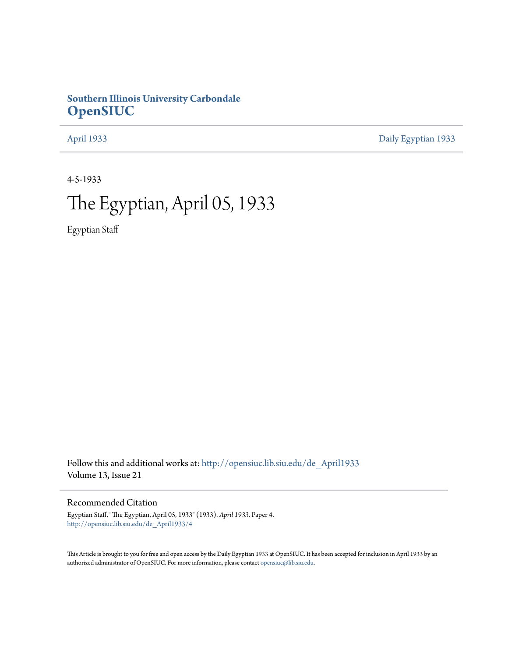# **Southern Illinois University Carbondale [OpenSIUC](http://opensiuc.lib.siu.edu?utm_source=opensiuc.lib.siu.edu%2Fde_April1933%2F4&utm_medium=PDF&utm_campaign=PDFCoverPages)**

[April 1933](http://opensiuc.lib.siu.edu/de_April1933?utm_source=opensiuc.lib.siu.edu%2Fde_April1933%2F4&utm_medium=PDF&utm_campaign=PDFCoverPages) [Daily Egyptian 1933](http://opensiuc.lib.siu.edu/de_1933?utm_source=opensiuc.lib.siu.edu%2Fde_April1933%2F4&utm_medium=PDF&utm_campaign=PDFCoverPages)

4-5-1933

# The Egyptian, April 05, 1933

Egyptian Staff

Follow this and additional works at: [http://opensiuc.lib.siu.edu/de\\_April1933](http://opensiuc.lib.siu.edu/de_April1933?utm_source=opensiuc.lib.siu.edu%2Fde_April1933%2F4&utm_medium=PDF&utm_campaign=PDFCoverPages) Volume 13, Issue 21

## Recommended Citation

Egyptian Staff, "The Egyptian, April 05, 1933" (1933). *April 1933.* Paper 4. [http://opensiuc.lib.siu.edu/de\\_April1933/4](http://opensiuc.lib.siu.edu/de_April1933/4?utm_source=opensiuc.lib.siu.edu%2Fde_April1933%2F4&utm_medium=PDF&utm_campaign=PDFCoverPages)

This Article is brought to you for free and open access by the Daily Egyptian 1933 at OpenSIUC. It has been accepted for inclusion in April 1933 by an authorized administrator of OpenSIUC. For more information, please contact [opensiuc@lib.siu.edu](mailto:opensiuc@lib.siu.edu).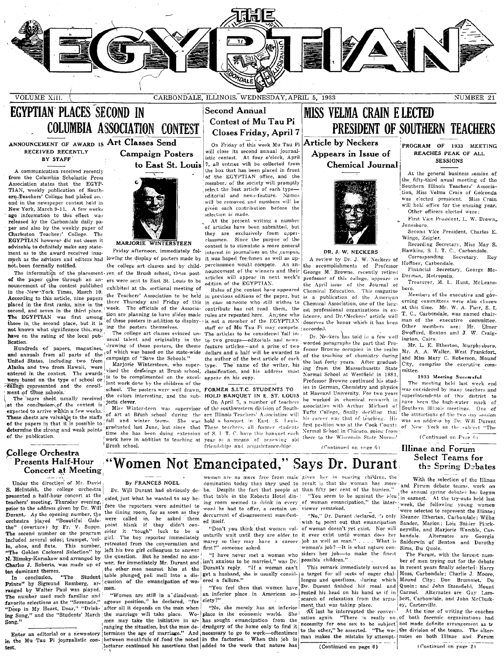

VOLUME XIII.

CARBONDALE, ILLINOIS, WEDNESDAY, APRIL 5, 1933

NUMBER 21

# **EGYPTIAN PLACES SECOND IN COLUMBIA ASSOCIATION CONTEST**

#### ANNOUNCEMENT OF AWARD IS Art Classes Send RECEIVED RECENTLY **BY STAFF**

A communication received recently from the Columbia Scholastic Press Association states that the EGYP-TIAN, weekly publication of Southern-Teachers' College had placed second in the newspaper contest held in New York, March 9-11. A few weeks ago information to this effect was released by the Carbondale daily paper and also by the weekly paper of Charleston Teachers' College. The EGYPTIAN however did not deem it advisable to definitely make any statement as to the award received inasmuch as the advisors and editors had not, been formally notified.

of the paper came through an announcement of the contest published in the New-York Times, March 10. According to this article, nine papers placed in the first ranks, nine in the second, and seven in the third place. The EGYPTIAN was first among those in the second place, but it is not known what significance this may have on the rating of the local publication.

Hundreds of papers, magazines, and annuals from all parts of the United States, including two from Alaska and two from Hawaii, were entered in the contest. The awards were based on the type of school or college represented and the enrollment of those schools.

The score sheet usually received at the conclusion of the contest is expected to arrive within a few weeks. These sheets are valuable to the staffs of the papers in that it is possible to determine the strong and weak points of the publication.

#### College Orchestra Presents Half-Hour **Concert at Meeting**

Under the direction of Mr. David S. McIntosh, the college orchestra presented a half-hour concert at the teachers' meeting, Thursday evening, prior to the address given by Dr. Will Durant. As the opening number, the the dining room, for as soon as they orchestra played "Beautiful Galathe" (overture) by Fr. V. Suppe. The second number on the program included several solos; trumpet, 'cel-This number, lo, oboe, and flute. The Golden Cockerel Selection" by N. Rimsky-Korsakow and arranged by Charles J. Robert ...,<br>ten dominant themes.<br>The Student Charles J. Roberts, was made up of

Prince" by Sigmund Romberg, are cussi-The number used such familiar and favorite selections as the "Serenade," "Deep in My Heart, Dear," "Drink-Song."

Enter an editorial or a news-story in the Mu Tau Pi journalistic contest.

# to East St. Louis

**Campaign Posters** 

**MARJORIE** WINTERSTEEN

Friday afternoon, immediately following the display of posters made by the college art classes and by child-The information of the placement ren of the Brush school, these postwere sent to East St. Louis to be exhibited at the sectional meeting of the Teachers' Association to be held there Thursday and Friday of this week. The officials of the Association are planning to have slides made ing the posters themselves.

The college art classes evinced unusual talent and originality in the drawing of these posters, the theme of which was based on the state-wide<br>campaign of "Save the Schools."

Marjorie Wintersteen, who superis to be complimented on the excellent work done by the children of the school. The posters were well drawn, the colors interesting, and the subjects clever.

Miss Wintersteen was supervisor fall and winter terms. She was graduated last June, but since that time she has been doing extension work here in addition to teaching at Brush school.

### **Second Annual Contest of Mu Tau Pi** Closes Friday, April 7

On Friday of this week Mu Tau Pi Article by Neckers will close its second annual journalistic contest. At four o'clock, April 7, all entries will be collected from the box that has been placed in front of the EGYPTIAN office, and the member. of the society will promptly select the best article of each typeeditorial and news-feature. Names will be removed and numbers will be given each contribution before the selection is made.

At the present writing a number of articles have been submitted, but they are exclusively from upperclassmen. Since the purpoe of the contest is to stimulate a more general interest in journalism on the campus. it was hoped freshmen as well as upperclassmen would compete. An announcement of the winners and their articles will appear in next week's edition of the EGYPTIAN.

Rules of the contest have appeared in previous editions of the paper, but in case someone who still wishes to contribute has not read them, the rules are repeated here. Anyone who staff or of Mu Tau Pi may compete. accorded. The articles to be considered fall into two groups-editorials and newsfeature articles-and a prize of two dollars and a half will be awarded to the author of the best article of each type. The name of the writer, his vised the drawings at Brush school, classification, and his address must annear on his copy.

#### FORMER S.I.T.C. STUDENTS TO HOLD BANQUET IN E. ST. LOUIS

On April 7, a number of teachers of the southwestern division of Southof art at Brush school during the ern Illinois Teachers' Association will hold a banquet in East. S. Louis. These teachers, all former students of S. I. T. C. have this banquet each year as a means of renewing old friendships and acquaintanceships

**MISS VELMA CRAIN E LECTED** PRESIDENT OF SOUTHERN TEACHERS

Appears in Issue of Chemical Journal



#### DR. J. W. NECKERS

A review by Dr. J. W. Neckers of the accomplishments of Professor George M. Browne, recently retired professor of this college, appears in the April issue of the Journal of Chemical Education. This magazine<br>is a publication of the American Chemical Association, one of the largest professional organizations in existence, and Dr. Neckers' article well of these posters in addition to display- is not a member of the EGYPTIAN : deserves the honor which it has been

> Dr. Neckers has told in a few well worded paragraphs the part that Professor Browne occupied in the realm of the teaching of chemistry during the last forty years. After graduating from the Massachusetts State Normal School at Westfield in 1881, Professor Browne continued his studies in German, Chemistry and physics at Harvard University. For two years he worked in chemical research in association with Arthur Michael of Tufts College, finally deciding that his career was that of teaching. His first position was at the Cook County of New York on the subject "The Normal School in Chicago, going from there to the Wisconsin State Normal

PROGRAM OF 1933 MEETING REACHES PEAK OF ALL **SESSIONS** 

At the general business session of the fifty-third anual meeting of the Southern Illinois Teachers' Association, Miss Velma Crain of Golconda was elected president. Miss Crain. will hold office for the ensuing year. Other officers elected were:

First Vice President, L. W. Brown, Jonesboro.<br>Second Vice President, Charles E.

Wingo, Zeigler.

Recording Secretary, Miss May S. Hawkins, S. I. T. C., Carbondale. Secretary. Roy Corresponding

Hoffner, Carbondale. Financial Secretary, George Mc-

Derman, Metropolis. Treasurer, M. L. Hunt, McLeanshoro

Members of the executive and governing committees were also chosen at this time. Mr. W. A. Furf, S. I. T. C., Carbondale, was named chairman of the executive committee.<br>Other members are: Mr. Elmer Swofford, Benton and J. W. Craigington, Cairo.

Mr. L. E. Etherton, Murphysboro, Mr. L. E. Etherton, Murphysboro,<br>Mr. A. A. Waller, West Frankfort,<br>and Miss Mary C. Roberson, Mound City, comprise the executive committee.

#### 1933 Meeting Successful

The meeting held last week end was considered by many teachers and superintendents of this district to have been the high-water mark of Southern Illinois meetings. One of the attractions of the two day session was an address by Dr. Will Durant

(Continued on Para  $61$ 

#### Illinae and Forum **Select Teams for** the Spring Debates

# "Women Not Emancipated," Says Dr. Durant

#### By FRANCES NOEL

Dr. Will Durant had obviously decided just what he wanted to say before the reporters were admitted to called in, he asked them<br>blank if they didn't con-<br>it "tough" luck to be a were point sider girl. The boy reporter immediately retreated from the conversation and left his two girl colleagues to answer the question. But he needed no ans<sup>1</sup> <sup>14</sup> have never met a woman who siders her job—to make the finest wer, for immediately Mr. Durant and isn't anxious to be maried," was Dr. possible children." the other men nearest him at the Durant's reply. cussion of the emancipation of wo-

"Women are still in a disadvantageous position," he declared, "for ciety?" after all it depends on the man when ing Song," and the "Students' March the marriage will take place. Wo- place in the economic world. men may take the initiative in ar-

that table in the Roberts Hotel din-1 word he had to offer, a certain un-viewer remarked. dercurrent of disagreement manifested itself.

first?" someone asked.

"If a woman can't table plunged pell mell into a dis- get a husband, she is usually consid- a target for all sorts of eager chal- Moss, Carbondale; Charlie J. Moore, ered a failure."

> "You feel then that women have an inferior place in American so- rested his head on his hand as if in

"No, she merely has an inferior She has sought emancipation from the ranging the situation, but the man de- drudgery of the home only to find it termines the age of marriage." And necessary to go to work-oftentimes between mouthfuls of food the noted in the factories. When this job is lecturer continued his assertions that added to the work that nature has

women are no more free from male given her in nearing children, the domination today than they used to result is that the woman has more and Forum debate teams, work on the liline an fifty per cent of the burden." the annual spring debates has begun<br>"You seem to be against the idea in earnest. At the try-outs held last ing room seemed to drink in every of woman emancipation," the inter- week, the following young women

(Continued on nage 6)

wish to point out that emancipation Sander, Marion; Lois Snider Pinck-"Don't you think that women vol- of woman doesn't yet exist. Nor will neyville, and Marjorie Womble, Caruntarily wait until they are older to it ever exist until woman does her bondale. marry so they may have a career job as well as man." . . . . What is Sniderwin of Benton and Dorothy .<br>woman's job?—It is what nature con-

> This remark immediately served as lenges and questions. Juring which Mound City; Don Brummet, Du search of relaxation from the argument that was taking place.

> At last he interrupted the convernecessity for one sex to be subject not made definite arrangement as to the other," he asserted. "The wo- the division of the teams. The alterman makes the mistake by attempt- nates on both Illinae and Forum

 $(Continued on page 6)$ 

With the selection of the Illinae were selected to represent the Illinae; "No," Dr. Durant declared, "1 only Eleanor Etherton, Carbondale; Wilba Alternates are Georgia

The Forum, with the largest number of men trying out for the debate in recent years finally selected: Harry Dr. Durant finished his meal and Quoin; and John Stansfield, Mount Carmel. Alternates are Guy Lambert, Carbondale, and John McCluskey, Carterville.

Sims. Du Quoin.

At the time of writing the coaches sation again. "There is really no of both forensic organizations had

(Continued on page 2)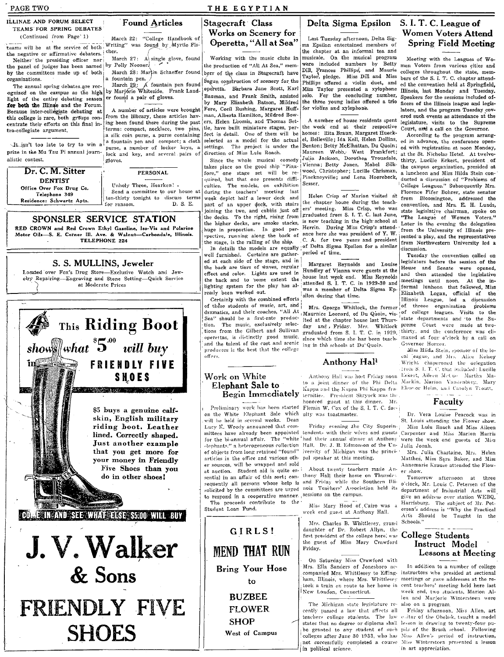#### PAGE TWO THE EGYPTIAN **ILLINAE AND FORUM SELECT** Delta Sigma Epsilon S. I. T. C. League of **Found Articles** Stagecraft Class TEAMS FOR SPRING DEBATES Works on Scenery for **Women Voters Attend** (Continued from Page' 1) March 22: "College Handbook of Last Tuesday afternoon, Delta Sigteams will be at the service of both writing" was found by Myrtle Fis-Operetta, "All at Sea" **Spring Field Meeting** ma Epsilon entertained members of the chapter at an informal tea and the negative or affirmative debaters. cher. musicale. On the musical program March 27: A single glove, found Working with the music clubs in Meeting with the Leagues of Wo-Neither the presiding officer nor were included numbers by Betty<br>Dill, Frances Phillips, and Maurie the panel of judges has been named by Polly Nooner the production of "All At Sea," memmen Voters from various cities and by the committees made up of both March 28: Martin Schaeffer found colleges throughout the state, members of the class in Stagecraft have Taylor, pledge. Miss Dill and Miss bers of the S. I. T. C. chapter attendfountain pen. organizations. egun construction of scenery for the Phillips offered a violin duet, and March 29: A fountain pen found<br>by Marjórie Whiteside. Frank Lauded the convention held at Springfield. The annual spring debates are recoperetta. Barbara Jane Scott, Karl Miss Taylor presented a xylophone Illinois, last Monday and Tuesday. ognized on the campus as the high For the concluding number, er found a pair of gloves. Bauman, and Frank Smith, assisted solo. Speakers for the sessions included oflight of the entire debating season by Mary Elisabeth Batson, Mildred the three young ladies offered a trio ficers of the Illinois league and legisfor both the Illinge and the Forum. Fore, Cecil Rushing, Margaret Hufffor violins and xylophone. A number of articles were brought lators, and the program Tuesday cov-Because inter-collegiate debating at man, Alberta Hamilton, Mildred Bowfrom the lilbrary, these articles havered such events as attendance at the this college is rare, both groups coners, Helen Loomis, and Thomas Set-A number of house residents spent ing been found there during the past legislature, visits to the Supreme centrate their efforts on this final inthe week end at their respective tle, have built miniature stages, perterms: compact, necklace, two pins, Court, and a call on the Governor. tra-collegiate argument. homes: Rita Braun, Margaret Hueckfect in detail. One of them will be a silk coin purse, a purse containing According to the program arrangselected as a model for the actual el. Belleville: Ida Kell. Helen Dollins. a fountain pen and compact; a cloth ed in advance, the conference open-It isn't too late to try to win a Benton; Betty McElhattan, Du Quoin; purse, a number of locker keys, a settings. The project is under the ed with registration at noon Monday, prize in the Mu Tau Pi annual journ-Maureen Webb, West Frankfort; direction of Miss Lulu Roach. lock and key, and several pairs of at the St. Nicholas Hotel. At twelve-Julia Jackson, Dorothea Trousdale, alistic contest Since the whole musical comedy gloves. thirty, Lucille Eckert, president of Vienna; Betty Jones, Mabel Silktakes place on the good ship "Pinathe campus organization, presided at Dr. C. M. Sitter wood, Christopher; Lucille Chrisman, PERSONAL fore," one stage set will be rea luncheon and Miss Hilda Stein con-Pinckneyville; and Lena Hoorebeck, ducted a discussion of "Problems of College Leagues." Subsequently Mrs. quired, but that one presents diffi-**DENTIST** culties. The models, on exhibition<br>during the teachers' meeting last Sesser. Unholy Three, Hearken! . Office Over Fox Drug Co. Send a committee to our house at Florence Fifer Bohrer, state senator Telephone 349 Helen Crisp of Marion visited at week depict half a lower deck and ten-thirty tonight to discuss terms from Bloomington, addressed the convention, and Mrs. E. H. Lunds, Residence: Schwartz Apts. the chapter house during the teach-D. S. E. for ransom. part of an upper deck, with stairs ers' meeting. Miss Crisp, who was state legislative chairman, spoke on joining the two, and cabins just off graduated from S. I. T. C. last June, the decks. To the right, rising from "The League of Women Voters." SPONSLER SERVICE STATION is now teaching in the high school at the higher decks, are smoke stacks, Later in the evening the delegation RED CROWN and Red Crown Ethyl Gasoline, Iso-Vis and Polarine Herrin. During Miss Crisp's attendhuge in proportion. In good perfrom the University of Illinois pre-Motor Oils-S. E. Corner III. Ave. & Walnut-Carbondale, Illinois. ance here she was president of Y. W. spective, running along the back of sented a play, and the representatives TELEPHONE 224 C. A. for two years and president the stage, is the railing of the ship. from Northwestern University led a In details the models are equally of Delta Sigma Epsilon for a similar discussion. period of time. well furnished. Curtains are gather-Tuesday the convention called on ed at each side of the stage, and in legislators before the session of the S. S. MULLINS, Jeweler Margaret Reynolds and Louise the back are tiers of waves, regular House and Senate Hundley of Vienna were guests at the were opened, Located over Fox's Drug Store-Exclusive Watch and Jeweffect and color. Lights are used in and then attended the legislative house last week end. Miss Reynolds<br>|attended S. I. T. C. in 1929-30 and elry Repairing-Engraving and Stone Setting-Quick Service the back and to some extent the meetings until noon. At the inat Moderate Prices lighting system for the play has alformal lunheon that followed, Miss was a member of Delta Sigma Epready been worked out. Elizabeth Logan, official of the silon during that time. Certainly with the combined efforts Illinois League, led a discussion of these students of music, art, and problems of threee organization Mrs. George Whitlock, the former dramatics, and their coaches, "All At Maurnice Leonard, of Du Quoin, vis- of college leagues. Visits to the This Riding Boot Sea" should be a first-rate producstate departments and to the Suited at the chapter house last Thurstion. The music, exclusively selecpreme Court were made at two-<br>:thirty, and the conference was cliday and, Friday. Mrs. Whitlock tions from the Gilbert and Sullivan graduated from S. I. T. C. in 1929, show what  $5^{00}$  will buy operettas, is distinctly good music, maxed at four o'clock by a call on since which time she has been teachand the talent of the cast and scenic Governor Horner. ing in the schools at Du'Quoin. producers is the best that the college Miss Hiida Stein, sponsor of the looffers. cal eague, and Mrs. Alice Kelsey Anthony Hall **FRIENDLY FIVE** Wright chaperoned the delegation from S. I. T. C. that included: Lucille Eckert, Aileen McCue Martha Ma-**SHOES** Work on White Anthony Hall was host Friday noon to a joint dinner of the Phi Delta Mackin, Marion Vandenberg, Mary Elephant Sale to Eleator Helm, and Catolyn Troutt. Kappa and the Kappa Phi Kappa fra-Le de la componentación de la componentación de la componentación de la componentación de la componentación de<br>La componentación de la componentación de la componentación de la componentación de la componentación de la co Begin Immediately

Faculty

Dr. Vera Louise Peacock was in St. Louis attending the Flower show. Miss Lulu Roach and Miss Aileen

Mrs. Julia Chastaine, Mrs. Helen Matthes, Miss Sara Baker, and Miss Annemarie Krause attended the Flower show.

Tomorrow afternoon at three o'clock, Mr. Louis C. Petersen of the department of Industrial Arts will give an address over station WEBQ, Harrisburg. The subject of Mr. Petersen's address is "Why the Practical<br>Arts Should be Taught in the Schools."

#### College Students Instruct Model **Lessons at Meeting**

In addition to a number of college companied Mrs. Whittlesey to Effing- instructors who presided at sectional meetings or gave addresses at the recent teachers' meeting held here last week end, two students, Marion Allen and Marjorie Wintersteen were also on a program.

Friday afternoon, Miss Allen, art litor of the Obelisk, taught a model in art appreciation.



**SHOES** 

GIRLS! **MEND THAT RUN Bring Your Hose** to **BUZBEE FLOWER SHOP** 

West of Campus

Lucy K. Woody announced that com-

of objects from long retained "found"

er sources, will be wrapped and sold

at auction. Student aid is quite es-

Student Loan Fund.

ternities. President Shrvock was the honored guest at this dinner. Mr. Preliminary work has been started Flemin W. Cox of the S. I. T. C. facon the White Elephant Sale which ulty was toastmaster,<br>will be held in several weeks. Dean

Friday evening the City Superinmittees have already been appointed tendents with their wives and guests (arpenter and Miss Marion Harris for the bi-annual affair. The "white' had their annual dinner at Anthony were the week end guests of Miss for the bi elephants," a heterogeneous collection Hall, Dr. J. B. Edmonson of the Un- Julia Jonah. iversity of Michigan was the princiarticles in the office and various oth- pal speaker at this meeting.

About twenty teachers made Ansential in an affair of this sort; con- thony Hall their home on Thursday sequently all persons whose help is and Friday while the Southern Illisolicited by the committees are urged nois Teachers' Association held its to respond in a cooperative manner. sessions on the campus.<br>The proceeds contribute to the

Miss Mary Hood of Cairo was week end guest at Anthony Hall.

Mrs. Charles B. Whittlesey, grand daughter of Dr. Robert Allyn, the first president of the college here, was the guest of Miss Mary Crawford Friday.

On Saturday Miss Crawford with Mrs. Ella Sanders of Jonesboro acham, Illinois, where Mrs. Whittlesey<br>took a train en route to her home in New London, Connecticut.

The Michigan state legislature recently passed a law that affects all teachers college students. The law states that no degree or diploma shall lesson in drawing to twenty-four pube granted to any student of such pils of the Brush school. Following colleges after June 30 1933, who has Miss Allen's period of instruction, not successfully completed a course Miss Wintersteen presented a lesson in political science.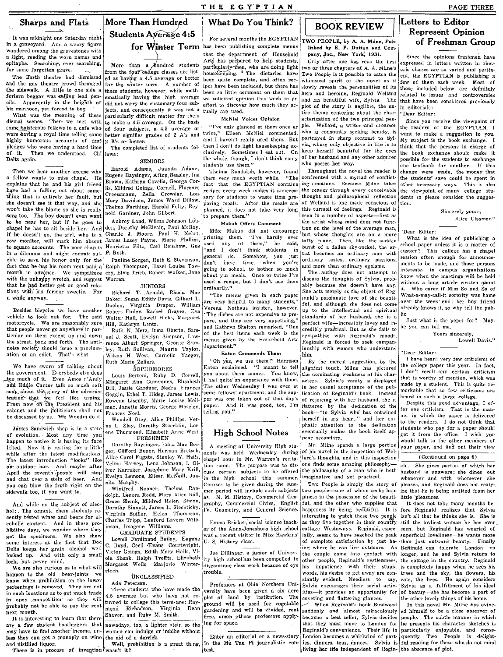THE EGYPTIAN

### Sharps and Flats

It was mhlnight one Saturday night in a graveyard. And a weary figure wandered among the gravestones with a light, reading the worn names and epitaphs. Searching, ever searching, for some forgotten grave.

The Barth theatre had dismissed and the gay theatre crowd thronged the sidewalk. A little to one side a forlorn beggar was selling lead pencils. Apparently in the heighth of his manhood, yet forced to beg.

What was the meaning of these dismal scenes. Then, we met with some boisterous fellows in a cafe who were having a royal time telling some highly humorous accounts of frat pledges who were having a hard time<br>of it. Then we understood. Chi of it, Then we understood. Delts again.

son't take the blame so she is really a not cardiner, John Gilbert. planned, it does not take very long this turmoil of feelings. Reginald is Sincerely yours, and the seed of the artist as Sincerely yours, to prepare them.

that people never go anywhere in particular on them except up and down the street, back and forth. The antinoise society should issue a proclamation or an edict. That's what,

We have sworn off talking about the government. Everybody else does <sub>p-too</sub> much of it. Even Amos n'Andy and Eddie Cantor talk so much soft soap about the glory of the administration that we feel like urping. From now on the President and his cabinet and the politicians shall not be discussed by us. We Woodin do it.

*of evolution.* Most any time you ene Thurmond, Elizabeth Anne West.  $\left\{\text{High School Notes}\right\}$  eventually makes the book its herity of  $\left\{\text{Poisson} \right\}$ happen to notice it is having its face lifted. Now it is resting for a little while after the latest modifications. The latest introduction "looks" like air outdoor bar. And maybe after April the seventh people will stop and chat over a stein of beer. And you can blow the froth right on the sidewalk too, if you want to,



More than a hundred students particularly men, who are doing light from the four college classes are list-housekeeping. The dietaries have ed as having a  $4.5$  average or better been quite complete, and often rector the winter term. A number of ince have been included but there has for the winter term. A number of ipes have been included, but there has these students, however, while math-heap as little commant on them that ematically having the high average we solicited opinion this week in an and neroine, Reginald Wellar Theories ematically intervalsed to isometry four sub-effort to discover how much they ac- plot of the story is neglible, did not carry the customary four subjects, and consequently it was not a particularly difficult matter for them to make a 4.5 average. On the basis of four subjects, a 4.5 average or better signifies grades of 2 A's and twice." Eileen McNiel commented, who is constantly seeking beauty, is want to make a suggestion to you. 2 B's or better.

The completed list of students follows:

Then we hear another excuse why Harold Adams, Juanita Adam<sup>-</sup>, *indima Randolph*, however, found Throughout the novel the reader is a fellow wants to miss chapel. He exameder is change Baysinger, Afton Beasley, Ina helm v

ley, Ruth Sullivan, Maurie Taylor, department." [ions]<br>Wilson H. West Cornelia Yaeger, Eaton Commends Them [him. ey, Ruth Sultivan, Maurie 1 aylor,<br>Wilson H. West, Cornelia Yaeger, Eaton Commends Them him. The men to an time of the last of the heard very few criticisms of

for Winter Term has been publishing complete menus

that the department of Household Arts has prepared to help students, been so little comment on them that<br>we solicited opinion this week in an effort to discover how much they ac- plot of the story is neglible, the en-  $\frac{1}{2}$  in editorials:<br>tually are used. <br>tually are used.

and I haven't really used them. But portrayed in sharp contrast to  $\frac{Syl}{M}$  which is the book exchange. I<br>then I don't do light housekeeping ex-<br>then I don't do light housekeeping ex-<br> $\frac{Viz}{M}$  whose only objective in then I don't do light housekeeping ex-  $\frac{1}{2}$  whose only objective in life is to think that the persons in charge of clusively.<br>clusively. Sometimes I eat out. On keep herself beautiful for the eyes the book exchange s

a fellow wants to miss chapel. He Eugene Baysinger, Afton Beasley, Ina them very much worth while. "The confronted with a myriad of conflict- the students' save could be spent in explains that he explains that he and his explains that he and his girl friend Brown, Kathryn Cavella, Georga Cor- fact that the EGYPTIAN contains ing emotions. Because Milne takes other necessary ways. This is also<br>have had a falling out about some.  $\frac{1}{6}$ , Mi have had a falling out about some- lis, Mildred Goings, Cornell, Florence recipes every week makes it unneces- the reader through every conceivable the viewpoint of many college stu-<br>thing that is entirely her fault, but C thing that is entirely her fault, but Croessmann, Zella Crowder, Lois ary for students to waste time pre-<br>she doesn't see it that way, and she must be thought and please consider the suggested of the suggest-the sugges-Mary Davidson, James Ward Dullow, paring meals. After the meals are of Wellard is one made conscious of tion.<br>Thelma Farthing, Harold Felty, Rey. planned, it does not take very long this turmoil of feelings. Reginald is won't take the blame so she is really Thelma Farthing, Harold Felty, Rey- planned, it does not take very long sore too. The boy doesn't even want notel Gardner, John Gilbert.

The author description of the has his room rent paid a Ralph Thompson, Hazel Louise Tow-<br>month in advance. We sympathize ery, Elma Trieb, Robert Walker, Jane going to school, to bother so much and more than ordinary egoism with the unhappy wretch, and suggest Warren.<br>
with the unhappy wretch, and suggest Warren.<br>
that he hed botter cat on good with a long article written about

Ruth Marie Zellers. "Oh yes, we use them!" Harrison By the merest suggestion, by the I have heard very few criticisms of Euch Marie Zellers. In fact,

Dorothy Baysinger, Edna Mac Ber-<br>ger, Clifford Boner, Herman Bretsch, dents was held Wechesday during of his novel in the inspection of Well-<br>Alice Carol Fugate, Stanley W. Halls, chanel hour in Mr. Warren's recita-lard's Velma Harvey, Lena Johnson, I. Ol- times was to maxime service interesting philosophy-<br>iver Karraker, Josephine Mary Krill,  $\begin{bmatrix} \cos \theta & \sin \theta & \sin \theta \\ \cos \theta & \sin \theta & \sin \theta \\ \cos \theta & \sin \theta & \sin \theta \end{bmatrix}$  and the philosophy of a man who is bot Iver Karraker, Josephine Mary Krill, cuss certain subjects to be offered the philosophy of a man who is both husband is unaware; she dines out<br>Evelyn Lemons, Eileen McNeill, Jua- in the high school this summer. imaginative Evelyn Lemons, Eileen McNeill, Jua- in the high school this summer. imaginative and yet practical. whenever and with whomever she<br>nita Murphy.<br>New the summer courses to be given during the sum- Two People is simply the st do.Jph. Lenora Rodd. Mary Alice Roll, <sub>as:</sub> M. M. History, Commercial Geo- piness in the possession of the beauti-<br>Grace Shenk, Mildred Helen, Simon, lovenby, Commercial Civics. English ful, and the other who sunnlies that

In open competition so they will average out who have not re- plot of land by institution. The coveting and flattering glances. the other lovely things of his home.<br>
probably not be able to pay the rent mond Richadson, Vi

less they can get a monoply on wine the aid of a derrick.<br>and distilled liquor. Well, prohibition is a great thing, in the Mu Tau Pi journalistic con- ies, dinners, teas, dances. Sylvia is ful reading for those who do not test. **its, in process of investigated** was not independent of Regin- the abscence of plot.

# **BOOK REVIEW**

lished by E. P. Dutton and Com-<br>pany, Inc., New York. 1931.

Only after one has read the first expressed in letters written in rhet-<br>two or three chapters of A. A. Milne's original classes are so varied and pertintwo or three chapters of A. A. Milne's oric classes are so varied and pertin-<br>Two People is it possible to catch the ent. the EGYPTIAN is publishing a Two People is it possible to catch the ent, the EGYPTIAN is publishing a whimsical spirit of the novel as it four of them and weak weat of whimsical spirit of the novel as it few of them each week. Most of slowly reveals the personalities of its those included below are definitely slowly reveals the personalities of its those included below are definitely hero and heroine, Reginald Wellard related to issues and controversies are used. tire theme centering about the char-<br>McNiel Voices Opinion acterization of the two principal peo-

ple. Wellard, a writer and dreamer the readers of the EGYPTIAN, I who is constantly seeking beauty, is want to make a suggestion to you.

to be near her, but if he goes to Aubrey Land, Wilma Johnson Lou- Makuh Offers Comment | the artist whose mind does not func-<br>chapel he has to sit beside her. And den, Dorothy McElvain, Paul McRoy, Mike Makuh did not encou chapel he has to sit beside her. And den, Dorothy McElvain, raut wereo,<br>if he doesn't go, the girl, who is a Charlie J. Moore, Paul M. Nehrt, printing them. "I've hardly ever but whose thoughts are on a more of the gy and but whose thoughts are on a more  $\begin{bmatrix} \text{Dear} \\ \text{What is the idea of publishing a} \end{bmatrix}$ James Lasey Payne, Marie Phillips, printing them. The hardly ever the model model are on a more will what is the idea of publishing a Henrietta Piltz, Carl Renshaw, Gus, used any of them," he said, burst of a fallen sky-r to square accounts. The poor chap is Henrietta Piltz, Carl Renshaw, Gus lised any of them, he sald, burst of a fallen sky-rocket, the ar- school paper unless it is a matter of in a dilemma and might commit sui- F. Roth.<br>
eide to save his honor only for the Pauline Sorgen, Ruth E. Stevenson, general do. Somehow, you just less an ordinary man with existent and meeting the session often enough for

that he had better get on good relationships and the members of the members of the members of the members of the members of the same in the had better get on good relationships and the members of particle written about the tions with his former sweetie. For Richard T, Arnold, Rhoda Mae commany."<br>a while anyway what-a-may-call-it sorority was home<br>a while anyway a while anyway.<br>Baker, Susan Edith Davis, Gilbert Lare very helpful to many students,"  $\left[\frac{1}{2} \right]$  and although the deep at earn over the week end; her boy friend Doolen, Virginia Draper, William  $\frac{are}{v}$  very helpful to many students," ful, and although she does not come already knows it so why tell the nuh-Besides bicycles we have another Robert Finley, Rachel Graves, Eva Verena Nothaus insisted, however. up to the intellectual and spiritual and spiritual and spiritual and spiritual and spiritual and so why tell the pubvehicle to look out for. The said Walter Hall, Lowell Hicks, Margaret  $\begin{bmatrix} u_{\text{max}} & u_{\text{max}} \\ v_{\text{max}} & v_{\text{max}} \end{bmatrix}$  and they are very appetizing," perfect wife—incredibly lovey and in- Just what is the peper for? Maymotol and they are very appetizing," perfect wife-incredibly lovey and in-<br>Hill, Kathryn Lentz, Irma Oberto, Sam- and Kathryn Shelton remarked, "One eredibly practical. But as she fails to be you can tell me,<br>Ruth N. Merz and Kathryn Shelton remarked, "One credibly practical. But as she fails to be you can tell me.<br>of the best items each week is the sympathize with Reginald's moods, Yours sincerely, uel J. Scott, Evelyn Simpson, Law- of the best items each week is the sympathize with Reginald's moods, Yours sincerely, Yours sincerely, the state of the sympathize with Reginald is forced to seek compan. rence Albert Springer, George Stan- menus given by the Household Arts Reginald is forced to seek compan-<br>lev. Ruth Sullivan, Maurie Taylor, epartment."<br>

Eaton exclaimed. "I meant to tell slightest touch, Milne has pictured the college paper this year. In fact,  $\frac{1}{2}$  von about them sooner. You know, the dominating weakness of his char. I don't recall any certain critic Louis Bertoni, Ruby D. Correll, you about them sooner. You know, the dominating weakness of his char- I don't recall any certain criticism Margaret Ann Cummings, Elisabeth I had quite'an experience with them. acters. Sylvia's vanity is displayed that is worthy of mention, which was<br>Dill Iassie Cardner Nedra Frances The other Wednesday I was over at in her ca Dill, Jessie Gardner, Nedra Frances The other Wednesday I was over at in her casual acceptance of the pub- made by a student. This is quite re-<br>Goggin Ethel T. Hideg James Lewis, some fellows' apartment, and the sup- licat Goggin, Ethel T. Hideg, James Lewis, some fellows' apartment, and the sup- lication of Reginald's book. Instead imarkable that so few criticism Rowena Lisenby, Marie Louise Moll- per was one taken out of that day's of rejoicing with her husband, she is fleard in such a large college.<br>man Janette Morris George Moseley, paper. And it was good, too, I'm flattered by man, Janette Morris. George Moseley. paper. And it was good, too, I'm flattered by the dedication of the Despite this good advantage, I of-<br>Frances Noel. [fer one criticism. That is the man-Frances Noel.<br>Frances Noel. That is the man-<br>Weekly and har and har and har and har and her in which the paper is delivered Wendell Otey, Alice Phillips, Ver- herself in my heart," and her em-James Sandwich shop is in a state na L. Slay, Dorothy Stoecklin, Lor- The Letter of the dedication to the dedication to the dedication eventually makes the book itself approvement of the Chapter of the Thurmond, Elizabeth e Thurmond, Elizabeth Anne West. High School Notes<br>FRESHMEN pear secondary.<br>Dorothy Baysinger, Edna Mac Ber- A meeting of University High stu-<br>A meeting of University High stu-<br>Mr. Milne spends a large portion

nta Murphy.<br>Winitred Nooner, Thelma Ran- Courses to be given during the sum- Two People-one of whom seeks hap- ize that he is being omitted from her<br>Winitred Nooner, Thelma Ran- mer period will include such subjects two pe Winifred Nooner, Thelma Ran- mer period will include such subjects two people—one of whom seeks hap- ize that He is being allied flow that He is being  $R_{\rm tot}$  is all of the beauti- interval of the beauti- little pleasure And while on the subject of alco- Grace Shenk, Mildred Helen Simon, graphy, Commercial Civics, English ful, and the other who supplies that It does not take many months be-<br>In the example abon students re- Dorothy Sinnott hol:, The organic chem students re- Dorothy Sinnott, James L. Siechticky, IV. Geometry, and General Science. happiness by being beautiful. It is fore Reginald realizes that Sylvia Spiller, Helen Thompson, IV. Geometry, and cently tested wines and beers for al- Virginia Spiller, Helen Thompson,  $\mu$ , vectories and between wines of our content and interesting to your these two people isn't all that he thinks she is. She is contently the limit Charles Tripp, Lenford Lavern Wilk- Emma Bricker, social science teach- as they live together in their country still the lovliest woman he has ever<br>inson, Imogene Williams. er of the Anna Jonesboro high school cottage Wes hibitive days, we wonder where they missure manally make the Anna-Jonesboro high school cottage Westaways. Reginald, espec- seen, but Reginald has wearied of expected the property of the Anna-Jonesboro high school cottage got the specimens. We also show GRADUATE SIUDENTS<br>some interest at the fact that Doc Lowell Ferdinand Bailey, Eugene was a recent visitor in Miss Hawkins' ally, seems to have reached the peak superficial loveliness—he want got the specimens. We also show Lowell Ferdinand Bailey, Eugene was a recent visitor in mass hawains and interest at the fact that Doc local C. Boyd, Cecil Evans Courtwright, U. S. History class.<br>Delia keeps her grain alco got the specimens. We also show could be also show the fact that Doc Divel Ferdinand Bailey, Eugene was a recent visitor in Miss Hawkins and the peak is a recented the peak superficial loveliness—he wants more on the coupl locked up. And with only a small victor Goings, Edition wary rais,  $v = \int_0^{\infty} \cos \theta$  is the couple come into contact with longer, and he and Sylvia return to  $\cos \theta$ , but never mind. Section of  $\sin \theta$  is the couple in the We are also curious as to what will margaret Wells, Marjone Winter- discontinue class work because of eye his impatience with their stupid is completely happy when he sees his in the sees his completely happy when he sees happen to the old beer-joints we steen.<br>
INCLASSIFIED intervalsed and the sky, the flowers, his desire to get away are con- trees and the sky, the flowers, his desire to get away. each considers to say, cats, the bees. He know when prohibition on the lower and the lower and professors at Ohio Northern Uni-Sylvia encourages their social active Sylvia as a fulfillment of his ideal<br>nercentage is removed. They are not and the set of the standar They are not have the students who have made the professors at Ohio Northern Uni- Sylvia encourages their social activ- Sylvia as a fulfillment of his ideal<br>In such locations as to get much trade removed. Three students wh  $\mu$  in auch locations as to get much trade Tree students who have made the versity have been given a six acre ities—it provides an opportunity for of beatuy—she has become a part of

are a few student bootleggers that nowadays, too, a lighter stein so the ing for space.<br>
may have to find another income, un-<br>
less they can get a monoply on wine the aid of a derrick.<br>
Less they can get a monoply on wine

# Letters to Editor<br>Represent Opinion

pany,  $\Box$  New York, 1931.<br>Only after one has read the first expressed in letters written in rhetthat have been considered previously<br>in editorials:

McNiel Voices Opinion acterization of the two principal peo-<br>"I've only glanced at them once or ple. Wellard, a writer and dreamer the readers of the EGYPTIAN, I keep herself beautiful for the eyes the book exchange should make it<br>of her husband and any other admirer possible for the students to exchange SENIORS the whole, though, I don't think many  $\begin{vmatrix} \text{of} & \text{her husband and any other admixer} \\ \text{whose } & \text{or } & \text{the student's to exchange} \\ \text{one } & \text{terthough} \end{vmatrix}$ the passes her way.  $\begin{vmatrix} \text{one} & \text{textbook} & \text{for} \\ \text{one} & \text{textmost} \\ \text{change} & \text{where} & \text{made} \end{vmatrix}$ . If this

to the readers. I do not think that students who pay for a paper shoukl get it from the office. I wish you would talk to the other members of your paper, and find out their view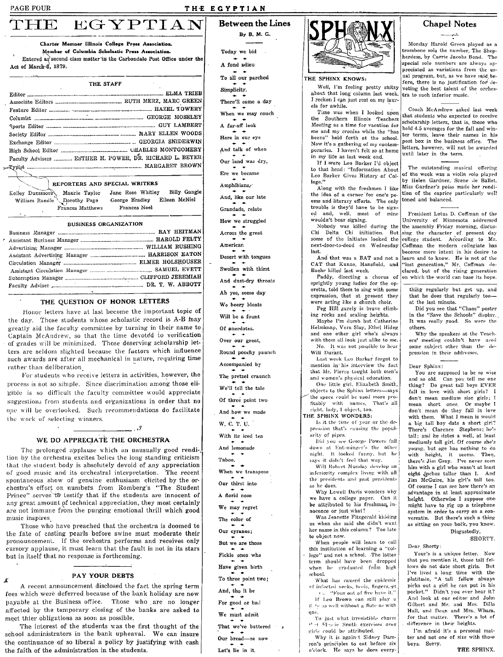Act of March-8, 1879.

### THE EGYPTIAN

**Between the Lines** By B. M. G.

Today we bid A fond adjeu To all our parched Simplicity. There'll come a day When we may couch A far-off look Here in our eve And talk of when Our land was dry, Ere we became Amphibians, And, like our late Grandads, relate How we struggled Across the great American Desert with tongues Swollen with thirst And dust-dry throats

Ah yes, some day

We beery bloats

Will be a fount

Of anecdotes.

Over our great,

Round poochy paunch

Accompanied by

The pretzel craunch

We'll tell the tale

Of three point two

And how we made

W. C. T. U.

With its iced tea

Let's lie in it.



#### THE SPHINX KNOWS:

Well, I'm feeling pretty shitzy about that long column last week. I reckon I can just rest on my laurels for awhile.

Time was when I looked upon the Southern Illinois Teachers Meeting as a time for vacation for me and my cronies while the "has beens" held forth at the school. Now it's a gathering of my contemporaries. I haven't felt so at home in my life as last week end.

If I were Leo Barker I'd object to that head: "Information About Leo Barker Gives History of College."

Along with the freshmen I like the idea of a corner for one's poems and literary efforts. The only trouble is they'd have to be signed and, well, most of mine wouldn't bear signing.

Nobody was killed during the Chi Delta Chi initiation.  $_{\rm{Rut}}$ some of the initiates looked the next-door-to-dead on Wednesday last

And that was a BAT and not a CAT that Kunze, Mansfield, and Baehr killed last week.

Paddy, directing a chorus of sprightly young ladies for the operetta, told them to sing with some expression, that at present they were acting like a church choir. Peg Hill surely is brave climb-

ing rocks and scaling heights. Maybe I'm dumh but Catherine Helmknap, Vera Slay, Ethel Hideg and one other girl who's always with them all look just alike to me. No. It was not possible to hear Will Durant.

Last week Leo Barker forgot to mention in his interview the fact that Mr. Pierce taught both men's and women's physical education.

One little girl, Elizabeth Smith, objects to the Sphinx letters-says the space could be used more profitably with names. That's all right, lady, I object, too.

THE SPHINX WONDERS:

Is it the time of year or the depression that's causing the popularity of pipes.

Did you see George Powers fall down at Enteninger's the other night. It looked funny, but he says it didn't feel that way.

Will Robert Munday develop an inferiority complex living with all the presidents and past presidents as he does.

Why Lowell Davis wonders why we have a college paper. Can it be attributed to his freshman, innocence or just what?

Was Jeanette Fitzgerald kidding us when she said she didn't want her name in this column? Too late to object now.

When people will learn to call this institution of learning a "college" and not a school. The latter term should have been dropped when he graduated from high school.

What has caused the epidemic of infected necks, heels, fingers, et " a "Four out of five have it."

If Leo Brown can still play a (l. te as well without a flute as with one.

To just what irresistible charm Out Was in Smith exercises over girls could be attributed.

Why it is against Sidney Damron's principles to eat before six o'clock. He says he does every-

### **Chapel Notes**

لمشتر

Monday Harold Green played as a trombone solo the number, The Shepherdess, by Carrie Jacobs Bond. The special solo numbers are always appreciated as variations from the usual program, but, as we have said before, there is no justification for devoting the best talent of the orchestra to such inferior music.

Coach McAndrew asked last week that students who expected to receive scholarship letters, that is, those who hold 4.5 averages for the fall and winter terms, leave their names in his post box in the business office. The .<br>letters, however, will not be awarded until later in the term.

The outstanding musical offering of the week was a violin solo played by Helen Gardner, Scene de Ballet. Miss Gardner's poise made her rendition of the caprice particularly well toned and balanced.

President Lotus D. Coffman of the University of Minnesota addressed the assembly Friday morning, discussing the character of present day college student. According to Mr. Coffman the modern collegiate has become more intent in his desire to bearn and to know. He is not of the "lost generation," Mr. Coffman de-<br>clared, but of the rising generation on which the world can base its hope.

thing regularly but get up, and that he does that regularly tooat the last minute.

Did you see that "Chaos" poster<br>in the "Save the Schools" display. It was really good. So were the others.

Why the speakers at the Teachers' meeting couldn't have used some subject other than the depression in their addresses.

#### Dear Sphinx:

You are supposed to be so wise and so old. Can you tell me one thing? Do great tall boys EVER fall in love with short girls? I don't mean medium size girls; I mean short ones. Or maybe I don't mean do they fall in love<br>with them. What I mean is would a big tall boy date a short girl? There's Clarence Stephens; he's tall; and he dates a well, at least mediumly tall girl. Of course she's young, but age has nothing to do with height, it seems. Then, there's Jim Gray. I've never seen him with a girl who wasn't at least eight inches taller than I. And Jim McGuire, his girl's tall too. Of course I can see how there's an advantage in at least approximate height. Otherwise I suppose onemight have to rig up a telephone system in order to carry on a conversatin. But there's such a thing as sitting on your back, you know.

#### Disgustedly, SHORTY.

Dear Shorty:

Your's is a unique letter. Now that you mention it, those tall fellows do not date short girls. But I've lived a long time with the platitude, "A tall fellow always picks out a girl he can put in his pocket." Didn't you ever hear it? And look at our editor and John Gilbert and Mr. and Mrs. Dilla<br>Hall, and Dean and Mrs. Wham, for that matter. There's a lot of difference in their heights.

I'm afraid it's a personal matter and not one of size with those boys. Sorry.

And lemonade Taboo, When we transpose Our thirst into A florid nose We may regret The color of Our cyranos: But we are those Fickle ones who Have given birth To three point two; And, tho it be For good or bad We must admit That we've buttered Our bread-so now

of good music and its orchestral interpretation. The recent chestra's effort on numbers from Romberg's "The Student Prince" serves to testify that if the students are innocent of

Those who have preached that the orchestra is doomed to the fate of casting pearls before swine must moderate their pronouncement. If the orchestra performs and receives only cursory applause, it must learn that the fault is not in its stars but in itself that no response is forthcoming.

meet thier obligations as soon as possible.

The interest of the students was the first thought of the school administrators in the bank upheaval. We can insure the continuance of so liberal a policy by justifying with cash the faith of the administration in the students.

THE STAFF Editor ................ Faculty Advisers ........... ESTHER M. POWER, DR. RICHARD L. BEYER 

Charter Memoer Illinois College Press Association.

Member of Columbia Scholastic Press Association.

Entered as second class matter in the Carbondale Post Office under the

#### REPORTERS AND SPECIAL WRITERS

Kelley Dunsmore Maurie Taylor Jane Rose Whitley George Bradley Eileen McNiel Dorothy Page William Randle Frances Matthews Frances Noel

#### **BUSINESS ORGANIZATION**

#### THE QUESTION OF HONOR LETTERS

Honor letters have at last become the important topic of the day. Those students whose scholastic record is A-B may greatly aid the faculty committee by turning in their name to Captain McAndrew, so that the time devoted to verification of grades will be minimized. Those deserving scholarship letters are seldom slighted because the factors which influence such awards are after all mechanical in nature, requiring time rather than deliberation

For students who receive letters in activities, however, the process is not so simple. Since discrimination among those eligible is so difficult the faculty committee would appreciate suggestions from students and organizations in order that no one will be overlooked. Such recommendations do facilitate the work of selecting winners.

### WE DO APPRECIATE THE ORCHESTRA

يقن په

The prolonged applause which an unusually good rendition by the orchestra excites belies the long standing criticism that the student body is absolutely devoid of any appreciation spontaneous show of genuine enthusiasm elicited by the orany great amount of technical appreciation, they most certainly are not immune from the purging emotional thrill which good music inspires

PAY YOUR DEBTS A recent announcement disclosed the fact the spring term

fees which were deferred because of the bank holiday are now payable at the Business office. Those who are no longer affected by the temporary closing of the banks are asked to

Billy Gangle

EGYPTIAN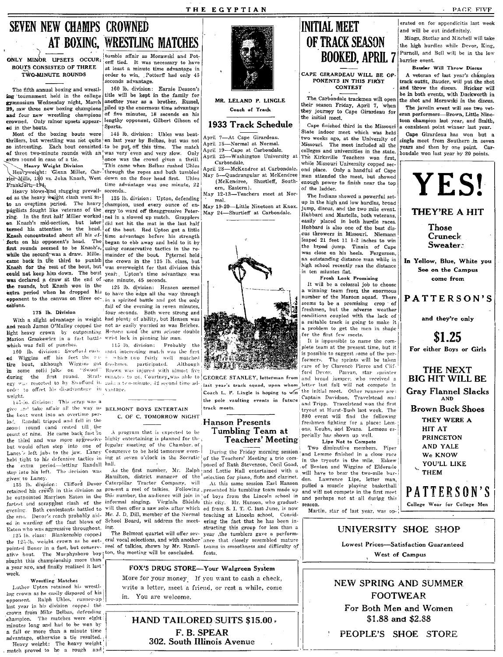# SEVEN NEW CHAMPS CROWNED I. INITIAL MEET I. Independicitis last week

The fifth annual boxing and wrestl- 160 lb. division: Earnie Deason's ing 'tournament held in the college title will be kept in the family for

was declared a draw at the end of 'one minute, 45 seconds.<br>
the rounds, but Knash won in the  $\frac{1}{25}$  lb. division: Hensen seemed  $\begin{bmatrix} 1 & 1 \end{bmatrix}$ . It will be a colossal job to choose

and reach James O'Malley copped the not as easily worried as was Belcher. The company of the set of a suitable track is going to make it a problem to get the men in shape in the company of the men in shape in the company o

tire bout, although Wiggins got freshmen participated. Although I (are of by Clarence Pierce of by Clarence Pierce and Clif-<br>1 some solid jolts on "Swool" Brown was injured with almost five and Clarence Pierce Pierce Pierc

H.J.-io. division: This serap was a transmission of the watter of track meets.<br>give and Tripp. Travelstead won the first even at Hurst-Bush last week. The series in the first of tryout at Hurst-Bush last week. The the bout went into an overtime per-<br>
ind. Randall tripped and fell owner. C. OF C. TOMORROW NIGHT 1880 event will find the following<br>
ind. Randall tripped and fell inthe the following:<br>  $\begin{bmatrix} 880 & \text{event will find the following result, and the following result, we must have a new solution.} \$ seon,1 round cand rested till, the count of nine. He came back fast in the third and was more aggressive highly entertaining is planned for the **Teachers' Meeting** [ pecially has shown up well. but would often step into one of regular meeting of the Chamber. of<br>Laney's left jabs to the jaw. Laney Commerce to be held tomorrow even. During the Friday morning session and Lemme finished in a close race Lane, 's left jabs to the jaw. Laney Commerce to be held tomorrow even-<br>held tight to his defensive tactics in  $\lim_{n \to \infty}$  at seven o'clock in the Socratic

ed in warding off the fast blows of School Board, wil address the meet- ering the fact that he has been in-<br>Eaton who was aggressive throughout, ing. Eaton who was aggressive throughout, ing, structure in the less than all the structure for less than  $\Gamma$ 

the 124-lb, weight crown as he out- eral vocal selections, and with another ance that closely resembled mature<br>pointed Boner in a fast, but conserv- reel of talkies, shown by Mr. Hamil- teams in smoothness and difficulty o ative bout. The Murphysboro boy ton, the meeting will be concluded. feats. sought this championship more than a year ago, and, finally realized it last week.

#### Wrestling Matches

Luther Upton retained his wrestling-crown as he casily disposed of his<br>opponent, - Ralph Uhles, runner-up last year in his division copped the crown from Mike Belbas, defending champion. The matches were eight minutes long and had to be won by a fall or more than a minute time advantage, otherwise a tie resulted. Heavy weight: The heavy weight , match proved to he a rough and i :1

 $\mathbf{I}$ 

AT BOXING, WRESTLING MATCHES ONLY MINOR UPSETS OCCUR; the start and Morawski and Pot-<br>BOUTS CONSISTED OF THREE at least a minute time advantage in TWO-MINUTE ROUNDS order to win. Pottorff had only 45 econds advantage.<br>160 lb. division: Earnie Deason's

ing tournament held in the college title will be kept in the family for MR. LELAND P. LINGLE The Carbondale trackmen will open gymnasium Wednesday night, March another year as a prother, Russel, MR. LELAND P. LINGLE their season Friday, April 7, when<br>29, saw three new boxing champions piled up the enormous time advantage Coach of Track they journe 29, piled up the enormous time advantage characteristic champions with the enormous time advantage champions champions on his and four new wrestling champions of five minutes, 18 seconds on his the initial meet.<br>
and in the houts. Client of the limitial meet.<br>
ad in the houts. Client of the limitial meet.

Hea\',Y blow~ ~\ sluggIng pl'ev~Il- seconds.~ May 12~13-Teachers meet at Nor-

to an overtime period. The heavy champion, used every ounce of en- May 19-20—Little Nineteen at Knox. up in the high and low hurdles, broad pugilists fought like veterans of the ergy to ward off theaggressive Peter- May 19 ergy to ward off the eggressive Peter- May 24-Shurtleff at Carbondale. Hubbard and Mastella, both veterans, ring. In the first half Miller worked inel in a slowed up match. Grapplers  $\begin{bmatrix} \text{may} & \text{z}_4 & -\text{squared} \\ \text{may} & \text{z}_4 & -\text{squared} \end{bmatrix}$  and  $\begin{bmatrix} \text{may} & \text{z}_4 & \text{tational} \\ \text{may} & \text{z4} & -\text{sational} \end{bmatrix}$  and  $\begin{bmatrix} \text{may} & \text{z}_4 & \text{tational} \\$ on Knash's mid-section, but later did not hit the mat in the last half easily placed in both hurdle races.<br>
turned his attention to the head of the bont Red Union got a little easily easily Hubbard is also one of the best our future interest that the head. In the head of the best dis-<br> **Exampled his attention to the best dis-**<br> **Example 2008** Concentrated about all his ef- time advantage hefore his strength Example about all his effective and the boundary of the strength concentrated about all his effective before his strength ending before his strength ending the strength of the strength eus throwers in Missouri. Niemann and A really the second was a draw. Mille, the mainder of the boat included to it by the broad jump. Tinnin of Cape<br>
That rounds seemed to be Knash's, using conservative tactics in the re-<br>
while the second was a draw. Mille, first rounds seemed to be Knash's,  $\frac{1}{100}$  using conservative tactics in the re-<br>while the second was a draw. Mille, mainder of the bout. Peternel held was close on his heels. Fergerson,<br>I was close on his heels. Fergerson, was close on his heels. Fergerson, came back in the third to punish the crown in the 125 lb. class, but 1 and the individual control of the trown in the 125 lb. class, but 1 an outstanding distance man while in the intervention of the trown in the 125 lb. c Knash for the rest of the bout, but was overweight for that division this  $\begin{array}{c|c}\n\hline\n\text{high school recently} \\
\text{in ten minutes flat.}\n\end{array}$ could not keep him down. The bout year: Upton's time advantage was in the set of the miuntes flat.<br>was declared a draw at the end of one minute 45 seconds

**opponent to the canvas on three oc-**, in a spirited battle and got the only number of the Maroon squad. There  $\sigma$  is explored by  $\sigma$  and  $\sigma$  a spin-ted battle and got the only number of the Maroon squad. There are num easions. fall of the evening in seven minutes, exercise to be-a promising crop of the evening in seven minutes,  $\frac{1}{2}$  free streams to be-a promising crop of  $\frac{1}{2}$  free streams. The seconds of the externe streams an four seconds. Both were strong and  $\frac{1}{2}$  seconds and  $\frac{1}{2}$  liestimen, but the adverse weather With a slight advantage in weight had plenty of ability, but Hensen was ("Onditions" on the lack of the lack of the lack of the lack of the lack of the lack of the lack of the lack of the lack of the lack of the lack of th

fastest and serapplest clash of the informal singing. Virginia Shields this city. Mr. Hanson, who graduat-<br>fastest and screpplest clash of the informal singing. Virginia Shields this city. Mr. Hanson, who graduat-<br>evening. will then offer a saw solo. after which ed from S. I. T. C. last June, is now measur.<br>Mr. J. D. Dill, member of the Normal teaching at Lincoln school. Considthe enu. Devor's reach probably aid- Mr. J. D. Dill, member of the Normal teaching at Lincoln school. Consid-<br>ed in warding off the fast blows of School Board, wil address the meet- ering the fact that he has been in-

The Belmont quartet will offer sev- year ,the tumblers gave a perform-

FOX'S DRUG STORE-Your Walgreen System More for your money. If you want to cash a check,

write a letter, meet a friend, or rest a while, come in. You are welcome.

HAND TAILORED SUITS \$15.00. F. B. SPEAR 302. South Illinois Avenue

# OF TRACK SEASON BOOKED, APRIL 7

PONENTS IN THIS FIRST **CONTEST** 

Most of the baxing bouts were the latter and the latter indoor meet which was held<br>the baxing bouts were en last year by Belbas, but was not April 7—At Cape Girardeau.<br>The influence interventing was not quite en last year so interesting. Each bout consisted to be put off this time. The match  $\begin{bmatrix} \text{April } 15 \end{bmatrix}$  of three included all the state.<br>Of three two-minute rounds with an was very even and very slow. Only April 19—Cape at Carbonda extra round in case of a tie. I lone was the crowd given a thrill April 25—Washington University at The Kirksville Teachers won first,<br>Heavy Weight Division This came when Belbas rushed Unles Carbondale. Heavy Weight Divis  $r$  and the flux of the state of the state of the state of the state of the state of the state of the state of the state of the state of the state of the state of the state of the state of the state of the ladder of the l

ern, Eastern).<br>
May 12-13—Teachers meet at Normalism The Indians showed a powerful set-<br>
May 141-20—Little Nineteen at Knox<br>
May in the high and low hurdles, broad<br>
innm discuss and the time will

the rounds, but Knash won in the 125 lb. division: Hensen seemed  $\frac{1}{2}$  a winning team from the enormous extra period when he dropped his to have the edge all the way through a winning team from the enormous much a win

which was full of punches. 113 lb. division: Probably the property plete team at the present time, but it it is possible to suggest some of the perand the division: Swotlond rush interesting match was the first of  $\frac{1}{2}$ ,  $\frac{1}{2}$ ,  $\frac{1}{2}$ ,  $\frac{1}{2}$ ,  $\frac{1}{2}$ ,  $\frac{1}{2}$ ,  $\frac{1}{2}$ ,  $\frac{1}{2}$ ,  $\frac{1}{2}$ ,  $\frac{1}{2}$ ,  $\frac{1}{2}$ ,  $\frac{1}{2}$ ,  $\frac{1}{2}$ ,  $\frac{1}{2}$ ,  $\frac{3}{2}$  some solid joks on "Swool" Brown was injured with almost five  $\frac{3}{2}$  is the second second. Starting the first number of the first research starting the first contract of the first research of the first resear egy was resorted to by Swofford in gain a competent of the ad- of GLONGE STANLET, external from admit and broad jumper, who received a<br>egy was resorted to by Swofford in gain a community, 42 second time ad-<br>order to offset onder to offset his disadvantage in vantage.<br>| Coach L. P. Lingle is hoping to win<sup>th</sup> the initial meet. Other runners are:<br>| Coach L. P. Lingle is hoping to win<sup>th</sup> the initial meet. Other runners are: wei)!ht. the pole vaulting events in future: Captain Davidson, Travelstead. an,l **i i**ffreshmen fighting for a place: Lem-<br>A program that is expected to be **Tumbling Team at** the logically the the man community of the program that is expected to be

Lancy select jack to the jack tax selection ing at seven o'clock in the Socratic of the Teachers' Meeting a trio come in the tryouts in the mile. Eskew the extra period—letting Randall hall.<br>
he extra period—letting Randal As the first number,  $M:$  Ralph and Lottie Hall entertained with a will have to bear the two-mile bur-<br>Hamilton, district manager of the selection for niano, flute and clarinet. given' to Laney, Hanlliton, district manager of the selection for piano, flute and clarinet. den. Lawrence Lipe, letter man,<br>given to Laney. Clifford Devor Caterpillar Tractor Company, will At this same session Earl Hanson 135 lb. division: Clifford Devor Caterpillar Tractor Company, will At this same session Earl Hanson pulled a muscle playing basketball retained his crowfi in this division as present a reel of talkies. Following: presented his tumbling team made up and will not compete in the first meet he outnointed Harrison Eaton in the this number, the audience will join in of boys from the Lincoln school in and perhaps not at all during this

I

,L

# and will be out indefinitely.

, Tumbling Team at one, Keuhn, and Evans. Le<br>Cachers' Meeting ing that the Not to Compate

the high hurdles while Devor, King, Purnell, and Bell will be in the low barrier event.

Bauder Will Throw Discus

A veteran of last year's champion track outfit, Bauder, will put the shot and throw the discus. Bricker will be in both events, with Duckworth in the shot and Morawski in the discus.

The javelin event will see two veteran performers-Brown, Little Nineteen champion last year, and Smith, consistent point winner last year.

Cape Girardeau has won but a single meet from Southern .in seven years and then by one point. Carbondale won last year by 20 points.



Those Cruneck Sweater:

In Yellow, Blue, White you See on the Campus come from

PATTERSON'S

and they're only

\$1.25 For either Boys or Girls

# THE NEXT BIG HIT WILL BE

Gray Flannel Slacks

Brown Buck Shoes THEY WERE A HIT AT PRINCETON AND YALE We KNOW YOU'LL LIKE

PATTERSON'S College Wear for College Men



# , West of Campus

NEW SPRING AND SUMMER FOOTWEAR For Both Men and Women \$1.88 and \$2.88

, PEOPLE'S SHOE STORE

Mings, Stotlar and Mitchell will take